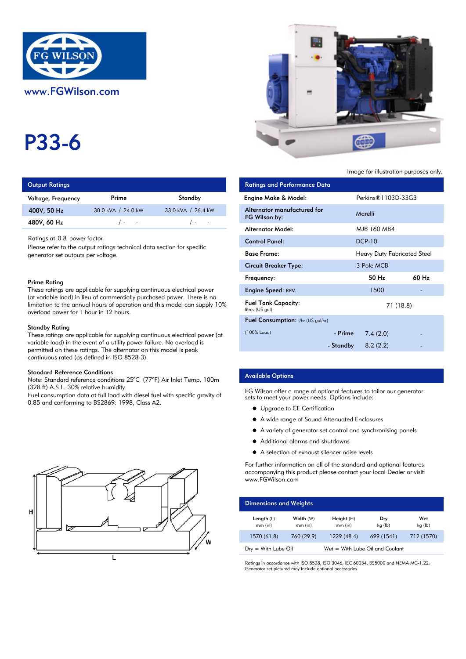

# P33-6

| <b>Output Ratings</b> |                          | <b>Ratings and Performance Data</b> |                             |
|-----------------------|--------------------------|-------------------------------------|-----------------------------|
| Voltage, Frequency    | Prime                    | Standby                             | Engine Make & Model:        |
| 400V, 50 Hz           | 30.0 kVA / 24.0 kW       | 33.0 kVA / 26.4 kW                  | Alternator manufactured for |
| 480V, 60 Hz           | $\sim 100$<br>$\sqrt{2}$ | $\sqrt{2}$ $\sim$                   | FG Wilson by:               |

#### Prime Rating

#### Standby Rating

These ratings are applicable for supplying continuous electrical power (at variable load) in the event of a utility power failure. No overload is permitted on these ratings. The alternator on this model is peak continuous rated (as defined in ISO 8528-3).

### Standard Reference Conditions

Note: Standard reference conditions 25°C (77°F) Air Inlet Temp, 100m (328 ft) A.S.L. 30% relative humidity.

Fuel consumption data at full load with diesel fuel with specific gravity of 0.85 and conforming to BS2869: 1998, Class A2.





Image for illustration purposes only.

| <b>Output Ratings</b>                  |                                                                                                                                            |                                                                              | <b>Ratings and Performance Data</b>           |           |                                    |       |
|----------------------------------------|--------------------------------------------------------------------------------------------------------------------------------------------|------------------------------------------------------------------------------|-----------------------------------------------|-----------|------------------------------------|-------|
| Voltage, Frequency                     | Prime                                                                                                                                      | Standby                                                                      | Engine Make & Model:                          |           | Perkins <sup>®</sup> 1103D-33G3    |       |
| 400V, 50 Hz                            | 30.0 kVA / 24.0 kW                                                                                                                         | 33.0 kVA / 26.4 kW                                                           | Alternator manufactured for<br>FG Wilson by:  |           | Marelli                            |       |
| 480V, 60 Hz                            | $\sqrt{2}$<br>$\sim 100$                                                                                                                   | $/$ -                                                                        | <b>Alternator Model:</b>                      |           | MJB 160 MB4                        |       |
| Ratings at 0.8 power factor.           |                                                                                                                                            |                                                                              | <b>Control Panel:</b>                         |           | <b>DCP-10</b>                      |       |
| generator set outputs per voltage.     | Please refer to the output ratings technical data section for specific                                                                     |                                                                              | <b>Base Frame:</b>                            |           | <b>Heavy Duty Fabricated Steel</b> |       |
|                                        |                                                                                                                                            |                                                                              | <b>Circuit Breaker Type:</b>                  |           | 3 Pole MCB                         |       |
| Prime Ratina                           |                                                                                                                                            |                                                                              | Frequency:                                    |           | 50 Hz                              | 60 Hz |
|                                        | These ratings are applicable for supplying continuous electrical power                                                                     |                                                                              | <b>Engine Speed: RPM</b>                      |           | 1500                               |       |
| overload power for 1 hour in 12 hours. | (at variable load) in lieu of commercially purchased power. There is no                                                                    | limitation to the annual hours of operation and this model can supply $10\%$ | <b>Fuel Tank Capacity:</b><br>litres (US gal) |           | 71 (18.8)                          |       |
|                                        |                                                                                                                                            |                                                                              | Fuel Consumption: I/hr (US gal/hr)            |           |                                    |       |
| Standby Rating                         |                                                                                                                                            | These ratings are applicable for supplying continuous electrical power (at   | (100% Load)                                   | - Prime   | 7.4(2.0)                           |       |
|                                        | variable load) in the event of a utility power failure. No overload is<br>permitted on these ratinas. The alternator on this model is peak |                                                                              |                                               | - Standby | 8.2(2.2)                           |       |

## Available Options

FG Wilson offer a range of optional features to tailor our generator sets to meet your power needs. Options include:

- **•** Upgrade to CE Certification
- A wide range of Sound Attenuated Enclosures
- A variety of generator set control and synchronising panels
- $\bullet$ Additional alarms and shutdowns
- A selection of exhaust silencer noise levels

For further information on all of the standard and optional features accompanying this product please contact your local Dealer or visit: www.FGWilson.com

| <b>Dimensions and Weights</b>   |                        |                                 |                |                |  |  |
|---------------------------------|------------------------|---------------------------------|----------------|----------------|--|--|
| Length $(L)$<br>$mm$ (in)       | Width (W)<br>$mm$ (in) | Height $(H)$<br>$mm$ (in)       | Dry<br>kg (lb) | Wet<br>kg (lb) |  |  |
| 1570 (61.8)                     | 760 (29.9)             | 1229 (48.4)                     | 699 (1541)     | 712 (1570)     |  |  |
| $D_{\text{IV}} =$ With Lube Oil |                        | Wet = With Lube Oil and Coolant |                |                |  |  |

Ratings in accordance with ISO 8528, ISO 3046, IEC 60034, BS5000 and NEMA MG-1.22. Generator set pictured may include optional accessories.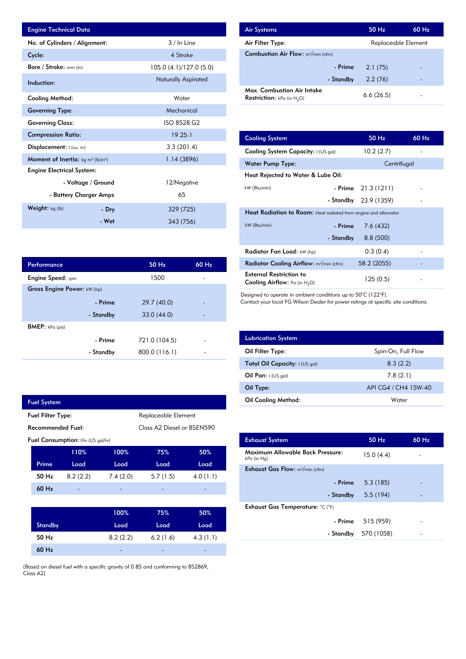| <b>Engine Technical Data</b>                                      |       |                            | <b>Air Systems</b>               |
|-------------------------------------------------------------------|-------|----------------------------|----------------------------------|
| No. of Cylinders / Alignment:                                     |       | 3 / In Line                | Air Filter Ty                    |
| Cycle:                                                            |       | 4 Stroke                   | Combustion                       |
| Bore / Stroke: mm (in)                                            |       | 105.0 (4.1)/127.0 (5.0)    |                                  |
| Induction:                                                        |       | <b>Naturally Aspirated</b> |                                  |
| Cooling Method:                                                   |       | Water                      | Max. Comb<br><b>Restriction:</b> |
| <b>Governing Type:</b>                                            |       | Mechanical                 |                                  |
| <b>Governing Class:</b>                                           |       | ISO 8528 G2                |                                  |
| <b>Compression Ratio:</b>                                         |       | 19.25:1                    | <b>Cooling Sys</b>               |
| Displacement:  (cu. in)                                           |       | 3.3(201.4)                 | <b>Cooling Sys</b>               |
| <b>Moment of Inertia:</b> kg m <sup>2</sup> (lb/in <sup>2</sup> ) |       | 1.14(3896)                 | Water Pum                        |
| <b>Engine Electrical System:</b>                                  |       |                            | <b>Heat Reject</b>               |
| - Voltage / Ground                                                |       | 12/Negative                | kW (Btu/min)                     |
| - Battery Charger Amps                                            |       | 65                         |                                  |
| Weight: kg (lb)                                                   | - Dry | 329 (725)                  | <b>Heat Radia</b>                |
|                                                                   | - Wet | 343 (756)                  | kW (Btu/min)                     |

| <b>Air Systems</b>                                                 | 50 Hz               | 60 Hz |
|--------------------------------------------------------------------|---------------------|-------|
| Air Filter Type:                                                   | Replaceable Element |       |
| <b>Combustion Air Flow:</b> $m^3/m$ in (cfm)                       |                     |       |
| - Prime                                                            | 2.1(75)             |       |
| - Standby                                                          | 2.2(76)             |       |
| Max. Combustion Air Intake<br><b>Restriction:</b> kPa (in $H_2O$ ) | 6.6(26.5)           |       |

| 19.25:1        | <b>Cooling System</b>                                                     |           | 50 Hz       | 60 Hz       |  |
|----------------|---------------------------------------------------------------------------|-----------|-------------|-------------|--|
| 3.3(201.4)     | Cooling System Capacity: I (US gal)                                       |           | 10.2(2.7)   |             |  |
| 1.14(3896)     | <b>Water Pump Type:</b>                                                   |           |             | Centrifugal |  |
|                | Heat Rejected to Water & Lube Oil:                                        |           |             |             |  |
| 12/Negative    | kW (Btu/min)                                                              | - Prime   | 21.3(1211)  |             |  |
| 65             |                                                                           | - Standby | 23.9 (1359) |             |  |
| 329 (725)      | <b>Heat Radiation to Room:</b> Heat radiated from engine and alternator   |           |             |             |  |
| 343 (756)      | kW (Btu/min)                                                              | - Prime   | 7.6(432)    |             |  |
|                |                                                                           | - Standby | 8.8(500)    |             |  |
|                | Radiator Fan Load: kW (hp)                                                |           | 0.3(0.4)    |             |  |
| 50 Hz<br>60 Hz | Radiator Cooling Airflow: m <sup>3</sup> /min (cfm)                       |           | 58.2 (2055) |             |  |
| 1500           | <b>External Restriction to</b><br><b>Cooling Airflow:</b> Pa (in $H_2O$ ) |           | 125(0.5)    |             |  |

Designed to operate in ambient conditions up to 50°C (122°F).

Contact your local FG Wilson Dealer for power ratings at specific site conditions.

| <b>Lubrication System</b>      |                      |
|--------------------------------|----------------------|
| Oil Filter Type:               | Spin-On, Full Flow   |
| Total Oil Capacity: I (US gal) | 8.3(2.2)             |
| Oil Pan: $1(US gal)$           | 7.8(2.1)             |
| Oil Type:                      | API CG4 / CH4 15W-40 |
| Oil Cooling Method:            | Water                |

| <b>Exhaust System</b>                           | 50 Hz      | $60$ Hz |
|-------------------------------------------------|------------|---------|
| Maximum Allowable Back Pressure:<br>kPa (in Hg) | 15.0(4.4)  |         |
| <b>Exhaust Gas Flow:</b> $m^3/m$ in (cfm)       |            |         |
| - Prime                                         | 5.3(185)   |         |
| - Standby                                       | 5.5 (194)  |         |
| Exhaust Gas Temperature: °C (°F)                |            |         |
| - Prime                                         | 515 (959)  |         |
| - Standby                                       | 570 (1058) |         |
|                                                 |            |         |

| Performance                 |           | 50 Hz         | 60 Hz                    |
|-----------------------------|-----------|---------------|--------------------------|
| <b>Engine Speed:</b> rpm    |           | 1500          |                          |
| Gross Engine Power: kW (hp) |           |               |                          |
|                             | - Prime   | 29.7 (40.0)   |                          |
|                             | - Standby | 33.0(44.0)    |                          |
| <b>BMEP:</b> $kPa$ (psi)    |           |               |                          |
|                             | - Prime   | 721.0 (104.5) | $\overline{\phantom{0}}$ |
|                             | - Standby | 800.0 (116.1) | $\overline{\phantom{0}}$ |
|                             |           |               |                          |

|                                    | <b>Fuel System</b> |          |                     |                            |          |  |
|------------------------------------|--------------------|----------|---------------------|----------------------------|----------|--|
| <b>Fuel Filter Type:</b>           |                    |          | Replaceable Element |                            |          |  |
| Recommended Fuel:                  |                    |          |                     | Class A2 Diesel or BSEN590 |          |  |
| Fuel Consumption: I/hr (US gal/hr) |                    |          |                     |                            |          |  |
|                                    |                    | 110%     | 100%                | 75%                        | 50%      |  |
|                                    |                    |          |                     |                            |          |  |
|                                    | Prime              | Load     | Load                | Load                       | Load     |  |
|                                    | 50 Hz              | 8.2(2.2) | 7.4(2.0)            | 5.7(1.5)                   | 4.0(1.1) |  |
|                                    | 60 Hz              |          |                     |                            |          |  |
|                                    |                    |          |                     |                            |          |  |

| <b>Standby</b> | Load:                    | Load                     | Load                     |
|----------------|--------------------------|--------------------------|--------------------------|
| 50 Hz          | 8.2(2.2)                 | 6.2(1.6)                 | 4.3(1.1)                 |
| 60 Hz          | $\overline{\phantom{a}}$ | $\overline{\phantom{0}}$ | $\overline{\phantom{0}}$ |

(Based on diesel fuel with a specific gravity of 0.85 and conforming to BS2869, Class A2)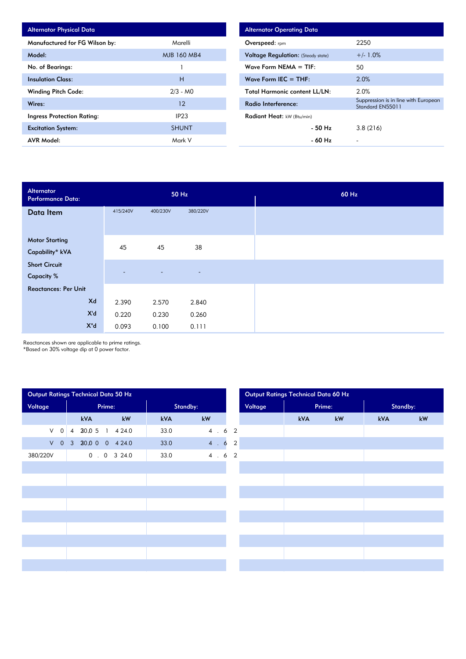| <b>Alternator Physical Data</b>   |                  |
|-----------------------------------|------------------|
| Manufactured for FG Wilson by:    | Marelli          |
| Model:                            | MJB 160 MB4      |
| No. of Bearings:                  |                  |
| <b>Insulation Class:</b>          | н                |
| <b>Winding Pitch Code:</b>        | $2/3 - M0$       |
| Wires:                            | 12               |
| <b>Ingress Protection Rating:</b> | IP <sub>23</sub> |
| <b>Excitation System:</b>         | <b>SHUNT</b>     |
| <b>AVR Model:</b>                 | Mark V           |

| <b>Alternator Operating Data</b>          |                                                          |  |  |  |  |  |  |  |
|-------------------------------------------|----------------------------------------------------------|--|--|--|--|--|--|--|
| Overspeed: rpm                            | 2250                                                     |  |  |  |  |  |  |  |
| <b>Voltage Regulation:</b> (Steady state) | $+/- 1.0%$                                               |  |  |  |  |  |  |  |
| Wave Form NEMA $=$ TIF:                   | 50                                                       |  |  |  |  |  |  |  |
| Wave Form IEC $=$ THF:                    | 2.0%                                                     |  |  |  |  |  |  |  |
| <b>Total Harmonic content LL/LN:</b>      | 2.0%                                                     |  |  |  |  |  |  |  |
| Radio Interference:                       | Suppression is in line with European<br>Standard EN55011 |  |  |  |  |  |  |  |
| <b>Radiant Heat:</b> kW (Btu/min)         |                                                          |  |  |  |  |  |  |  |
| - 50 Hz                                   | 3.8(216)                                                 |  |  |  |  |  |  |  |
| - 60 Hz                                   |                                                          |  |  |  |  |  |  |  |

| Alternator<br>Performance Data:           | 50 Hz    |          |                          |  | 60 Hz |
|-------------------------------------------|----------|----------|--------------------------|--|-------|
| Data Item                                 | 415/240V | 400/230V | 380/220V                 |  |       |
| <b>Motor Starting</b><br>Capability* kVA  | 45       | 45       | 38                       |  |       |
| <b>Short Circuit</b><br><b>Capacity %</b> |          | $\equiv$ | $\overline{\phantom{a}}$ |  |       |
| <b>Reactances: Per Unit</b>               |          |          |                          |  |       |
| Xd                                        | 2.390    | 2.570    | 2.840                    |  |       |
| X'd                                       | 0.220    | 0.230    | 0.260                    |  |       |
| $X^{\mathrm{H}}$ d                        | 0.093    | 0.100    | 0.111                    |  |       |

Reactances shown are applicable to prime ratings.

\*Based on 30% voltage dip at 0 power factor.

| Output Ratings Technical Data 50 Hz |                |                   |                 |          | Output Ratings Technical Data 60 Hz |         |            |        |            |          |  |
|-------------------------------------|----------------|-------------------|-----------------|----------|-------------------------------------|---------|------------|--------|------------|----------|--|
| Voltage                             |                |                   | Prime:          | Standby: |                                     | Voltage |            | Prime: |            | Standby: |  |
|                                     |                | kVA               | kW              | kVA      | kW                                  |         | <b>kVA</b> | kW     | <b>kVA</b> | kW       |  |
| $\vee$<br>$\mathsf{O}$              | $\overline{4}$ |                   | 20.0 5 1 4 24.0 | 33.0     | 4.62                                |         |            |        |            |          |  |
| $V$ 0                               |                | 3 20.0 0 0 4 24.0 |                 | 33.0     | 4.62                                |         |            |        |            |          |  |
| 380/220V                            |                |                   | 0.0324.0        | 33.0     | 4.62                                |         |            |        |            |          |  |
|                                     |                |                   |                 |          |                                     |         |            |        |            |          |  |
|                                     |                |                   |                 |          |                                     |         |            |        |            |          |  |
|                                     |                |                   |                 |          |                                     |         |            |        |            |          |  |
|                                     |                |                   |                 |          |                                     |         |            |        |            |          |  |
|                                     |                |                   |                 |          |                                     |         |            |        |            |          |  |
|                                     |                |                   |                 |          |                                     |         |            |        |            |          |  |
|                                     |                |                   |                 |          |                                     |         |            |        |            |          |  |
|                                     |                |                   |                 |          |                                     |         |            |        |            |          |  |
|                                     |                |                   |                 |          |                                     |         |            |        |            |          |  |